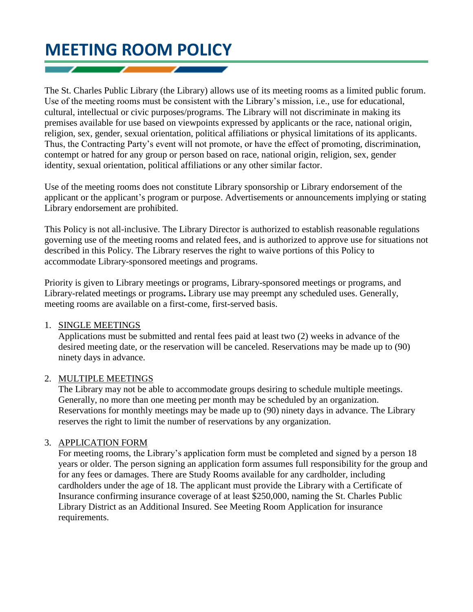# **MEETING ROOM POLICY**

The St. Charles Public Library (the Library) allows use of its meeting rooms as a limited public forum. Use of the meeting rooms must be consistent with the Library's mission, i.e., use for educational, cultural, intellectual or civic purposes/programs. The Library will not discriminate in making its premises available for use based on viewpoints expressed by applicants or the race, national origin, religion, sex, gender, sexual orientation, political affiliations or physical limitations of its applicants. Thus, the Contracting Party's event will not promote, or have the effect of promoting, discrimination, contempt or hatred for any group or person based on race, national origin, religion, sex, gender identity, sexual orientation, political affiliations or any other similar factor.

Use of the meeting rooms does not constitute Library sponsorship or Library endorsement of the applicant or the applicant's program or purpose. Advertisements or announcements implying or stating Library endorsement are prohibited.

This Policy is not all-inclusive. The Library Director is authorized to establish reasonable regulations governing use of the meeting rooms and related fees, and is authorized to approve use for situations not described in this Policy. The Library reserves the right to waive portions of this Policy to accommodate Library-sponsored meetings and programs.

Priority is given to Library meetings or programs, Library-sponsored meetings or programs, and Library-related meetings or programs**.** Library use may preempt any scheduled uses. Generally, meeting rooms are available on a first-come, first-served basis.

#### 1. SINGLE MEETINGS

Applications must be submitted and rental fees paid at least two (2) weeks in advance of the desired meeting date, or the reservation will be canceled. Reservations may be made up to (90) ninety days in advance.

## 2. MULTIPLE MEETINGS

The Library may not be able to accommodate groups desiring to schedule multiple meetings. Generally, no more than one meeting per month may be scheduled by an organization. Reservations for monthly meetings may be made up to (90) ninety days in advance. The Library reserves the right to limit the number of reservations by any organization.

## 3. APPLICATION FORM

For meeting rooms, the Library's application form must be completed and signed by a person 18 years or older. The person signing an application form assumes full responsibility for the group and for any fees or damages. There are Study Rooms available for any cardholder, including cardholders under the age of 18. The applicant must provide the Library with a Certificate of Insurance confirming insurance coverage of at least \$250,000, naming the St. Charles Public Library District as an Additional Insured. See Meeting Room Application for insurance requirements.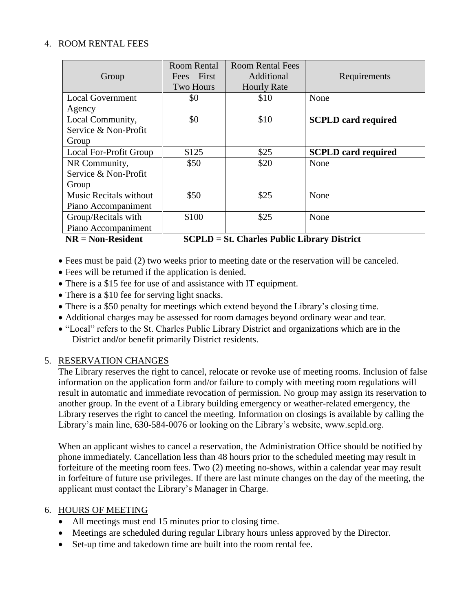#### 4. ROOM RENTAL FEES

|                                                                           | Room Rental      | <b>Room Rental Fees</b> |                            |  |
|---------------------------------------------------------------------------|------------------|-------------------------|----------------------------|--|
| Group                                                                     | $Fees - First$   | - Additional            | Requirements               |  |
|                                                                           | <b>Two Hours</b> | <b>Hourly Rate</b>      |                            |  |
| <b>Local Government</b>                                                   | \$0              | \$10                    | None                       |  |
| Agency                                                                    |                  |                         |                            |  |
| Local Community,                                                          | \$0              | \$10                    | <b>SCPLD</b> card required |  |
| Service & Non-Profit                                                      |                  |                         |                            |  |
| Group                                                                     |                  |                         |                            |  |
| Local For-Profit Group                                                    | \$125            | \$25                    | <b>SCPLD</b> card required |  |
| NR Community,                                                             | \$50             | \$20                    | None                       |  |
| Service & Non-Profit                                                      |                  |                         |                            |  |
| Group                                                                     |                  |                         |                            |  |
| Music Recitals without                                                    | \$50             | \$25                    | None                       |  |
| Piano Accompaniment                                                       |                  |                         |                            |  |
| Group/Recitals with                                                       | \$100            | \$25                    | None                       |  |
| Piano Accompaniment                                                       |                  |                         |                            |  |
| $NR = Non-Resident$<br><b>SCPLD</b> = St. Charles Public Library District |                  |                         |                            |  |

Fees must be paid (2) two weeks prior to meeting date or the reservation will be canceled.

- Fees will be returned if the application is denied.
- There is a \$15 fee for use of and assistance with IT equipment.
- There is a \$10 fee for serving light snacks.
- There is a \$50 penalty for meetings which extend beyond the Library's closing time.
- Additional charges may be assessed for room damages beyond ordinary wear and tear.
- "Local" refers to the St. Charles Public Library District and organizations which are in the District and**/**or benefit primarily District residents.

## 5. RESERVATION CHANGES

The Library reserves the right to cancel, relocate or revoke use of meeting rooms. Inclusion of false information on the application form and/or failure to comply with meeting room regulations will result in automatic and immediate revocation of permission. No group may assign its reservation to another group. In the event of a Library building emergency or weather-related emergency, the Library reserves the right to cancel the meeting. Information on closings is available by calling the Library's main line, 630-584-0076 or looking on the Library's website, www.scpld.org.

When an applicant wishes to cancel a reservation, the Administration Office should be notified by phone immediately. Cancellation less than 48 hours prior to the scheduled meeting may result in forfeiture of the meeting room fees. Two (2) meeting no-shows, within a calendar year may result in forfeiture of future use privileges. If there are last minute changes on the day of the meeting, the applicant must contact the Library's Manager in Charge.

#### 6. HOURS OF MEETING

- All meetings must end 15 minutes prior to closing time.
- Meetings are scheduled during regular Library hours unless approved by the Director.
- Set-up time and takedown time are built into the room rental fee.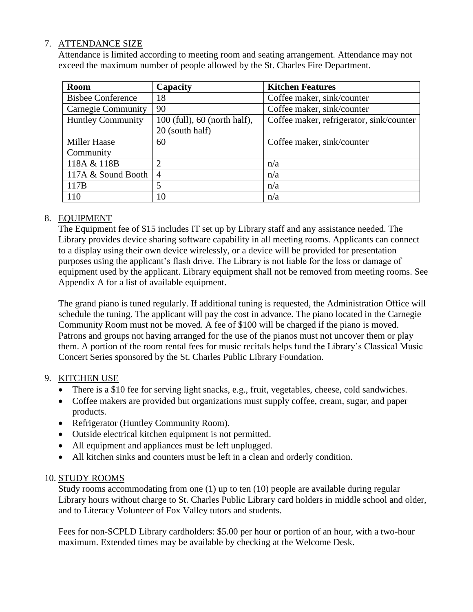## 7. ATTENDANCE SIZE

Attendance is limited according to meeting room and seating arrangement. Attendance may not exceed the maximum number of people allowed by the St. Charles Fire Department.

| <b>Room</b>               | Capacity                         | <b>Kitchen Features</b>                  |
|---------------------------|----------------------------------|------------------------------------------|
| <b>Bisbee Conference</b>  | 18                               | Coffee maker, sink/counter               |
| <b>Carnegie Community</b> | 90                               | Coffee maker, sink/counter               |
| <b>Huntley Community</b>  | $100$ (full), $60$ (north half), | Coffee maker, refrigerator, sink/counter |
|                           | 20 (south half)                  |                                          |
| <b>Miller Haase</b>       | 60                               | Coffee maker, sink/counter               |
| Community                 |                                  |                                          |
| 118A & 118B               | 2                                | n/a                                      |
| 117A & Sound Booth        | $\overline{4}$                   | n/a                                      |
| 117B                      | 5                                | n/a                                      |
| 110                       | 10                               | n/a                                      |

## 8. EQUIPMENT

The Equipment fee of \$15 includes IT set up by Library staff and any assistance needed. The Library provides device sharing software capability in all meeting rooms. Applicants can connect to a display using their own device wirelessly, or a device will be provided for presentation purposes using the applicant's flash drive. The Library is not liable for the loss or damage of equipment used by the applicant. Library equipment shall not be removed from meeting rooms. See Appendix A for a list of available equipment.

The grand piano is tuned regularly. If additional tuning is requested, the Administration Office will schedule the tuning. The applicant will pay the cost in advance. The piano located in the Carnegie Community Room must not be moved. A fee of \$100 will be charged if the piano is moved. Patrons and groups not having arranged for the use of the pianos must not uncover them or play them. A portion of the room rental fees for music recitals helps fund the Library's Classical Music Concert Series sponsored by the St. Charles Public Library Foundation.

## 9. KITCHEN USE

- There is a \$10 fee for serving light snacks, e.g., fruit, vegetables, cheese, cold sandwiches.
- Coffee makers are provided but organizations must supply coffee, cream, sugar, and paper products.
- Refrigerator (Huntley Community Room).
- Outside electrical kitchen equipment is not permitted.
- All equipment and appliances must be left unplugged.
- All kitchen sinks and counters must be left in a clean and orderly condition.

#### 10. STUDY ROOMS

Study rooms accommodating from one (1) up to ten (10) people are available during regular Library hours without charge to St. Charles Public Library card holders in middle school and older, and to Literacy Volunteer of Fox Valley tutors and students.

Fees for non-SCPLD Library cardholders: \$5.00 per hour or portion of an hour, with a two-hour maximum. Extended times may be available by checking at the Welcome Desk.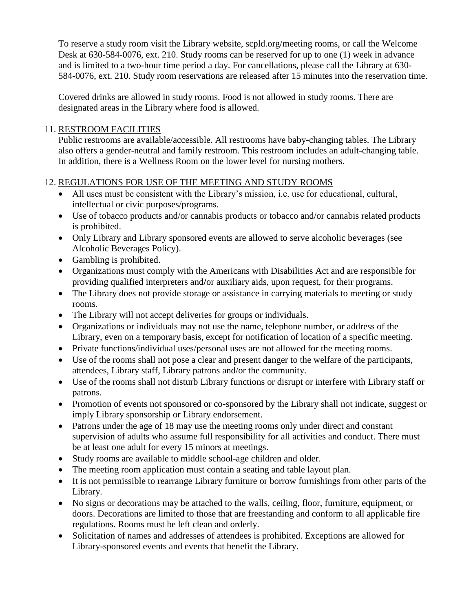To reserve a study room visit the Library website, scpld.org/meeting rooms, or call the Welcome Desk at 630-584-0076, ext. 210. Study rooms can be reserved for up to one (1) week in advance and is limited to a two-hour time period a day. For cancellations, please call the Library at 630- 584-0076, ext. 210. Study room reservations are released after 15 minutes into the reservation time.

Covered drinks are allowed in study rooms. Food is not allowed in study rooms. There are designated areas in the Library where food is allowed.

## 11. RESTROOM FACILITIES

Public restrooms are available/accessible. All restrooms have baby-changing tables. The Library also offers a gender-neutral and family restroom. This restroom includes an adult-changing table. In addition, there is a Wellness Room on the lower level for nursing mothers.

# 12. REGULATIONS FOR USE OF THE MEETING AND STUDY ROOMS

- All uses must be consistent with the Library's mission, i.e. use for educational, cultural, intellectual or civic purposes/programs.
- Use of tobacco products and/or cannabis products or tobacco and/or cannabis related products is prohibited.
- Only Library and Library sponsored events are allowed to serve alcoholic beverages (see Alcoholic Beverages Policy).
- Gambling is prohibited.
- Organizations must comply with the Americans with Disabilities Act and are responsible for providing qualified interpreters and**/**or auxiliary aids, upon request, for their programs.
- The Library does not provide storage or assistance in carrying materials to meeting or study rooms.
- The Library will not accept deliveries for groups or individuals.
- Organizations or individuals may not use the name, telephone number, or address of the Library, even on a temporary basis, except for notification of location of a specific meeting.
- Private functions/individual uses/personal uses are not allowed for the meeting rooms.
- Use of the rooms shall not pose a clear and present danger to the welfare of the participants, attendees, Library staff, Library patrons and/or the community.
- Use of the rooms shall not disturb Library functions or disrupt or interfere with Library staff or patrons.
- Promotion of events not sponsored or co-sponsored by the Library shall not indicate, suggest or imply Library sponsorship or Library endorsement.
- Patrons under the age of 18 may use the meeting rooms only under direct and constant supervision of adults who assume full responsibility for all activities and conduct. There must be at least one adult for every 15 minors at meetings.
- Study rooms are available to middle school-age children and older.
- The meeting room application must contain a seating and table layout plan.
- It is not permissible to rearrange Library furniture or borrow furnishings from other parts of the Library.
- No signs or decorations may be attached to the walls, ceiling, floor, furniture, equipment, or doors. Decorations are limited to those that are freestanding and conform to all applicable fire regulations. Rooms must be left clean and orderly.
- Solicitation of names and addresses of attendees is prohibited. Exceptions are allowed for Library-sponsored events and events that benefit the Library.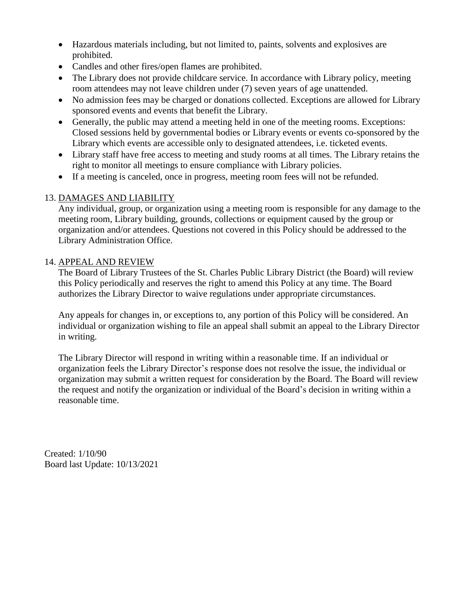- Hazardous materials including, but not limited to, paints, solvents and explosives are prohibited.
- Candles and other fires/open flames are prohibited.
- The Library does not provide childcare service. In accordance with Library policy, meeting room attendees may not leave children under (7) seven years of age unattended.
- No admission fees may be charged or donations collected. Exceptions are allowed for Library sponsored events and events that benefit the Library.
- Generally, the public may attend a meeting held in one of the meeting rooms. Exceptions: Closed sessions held by governmental bodies or Library events or events co-sponsored by the Library which events are accessible only to designated attendees, i.e. ticketed events.
- Library staff have free access to meeting and study rooms at all times. The Library retains the right to monitor all meetings to ensure compliance with Library policies.
- If a meeting is canceled, once in progress, meeting room fees will not be refunded.

# 13. DAMAGES AND LIABILITY

Any individual, group, or organization using a meeting room is responsible for any damage to the meeting room, Library building, grounds, collections or equipment caused by the group or organization and/or attendees. Questions not covered in this Policy should be addressed to the Library Administration Office.

# 14. APPEAL AND REVIEW

The Board of Library Trustees of the St. Charles Public Library District (the Board) will review this Policy periodically and reserves the right to amend this Policy at any time. The Board authorizes the Library Director to waive regulations under appropriate circumstances.

Any appeals for changes in, or exceptions to, any portion of this Policy will be considered. An individual or organization wishing to file an appeal shall submit an appeal to the Library Director in writing.

The Library Director will respond in writing within a reasonable time. If an individual or organization feels the Library Director's response does not resolve the issue, the individual or organization may submit a written request for consideration by the Board. The Board will review the request and notify the organization or individual of the Board's decision in writing within a reasonable time.

Created: 1/10/90 Board last Update: 10/13/2021